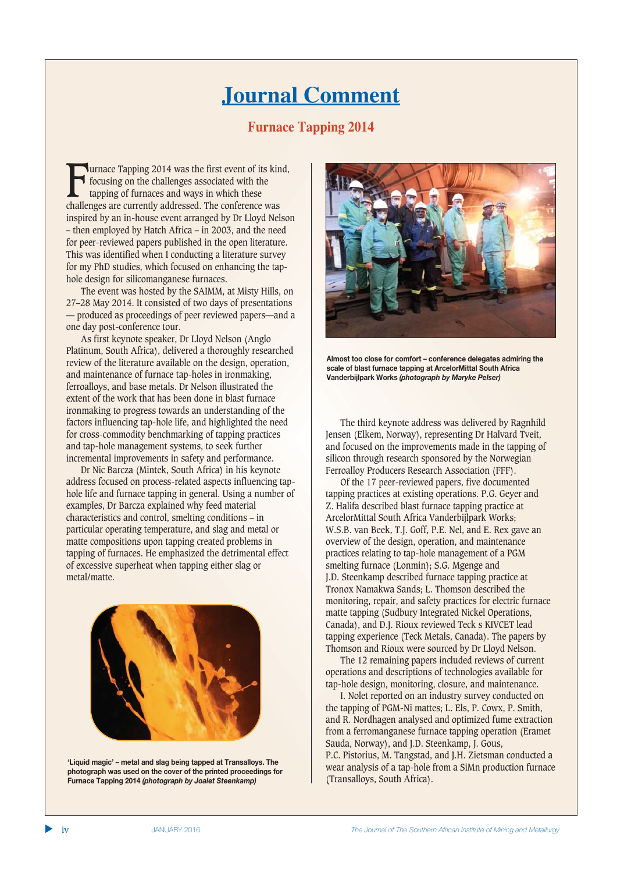## **Journal Comment**

## **Furnace Tapping 2014**

Furnace Tapping 2014 was the first event of its kind,<br>focusing on the challenges associated with the<br>tapping of furnaces and ways in which these<br>challenges are currently addressed. The conference was focusing on the challenges associated with the tapping of furnaces and ways in which these challenges are currently addressed. The conference was inspired by an in-house event arranged by Dr Lloyd Nelson – then employed by Hatch Africa – in 2003, and the need for peer-reviewed papers published in the open literature. This was identified when I conducting a literature survey for my PhD studies, which focused on enhancing the taphole design for silicomanganese furnaces.

The event was hosted by the SAIMM, at Misty Hills, on 27–28 May 2014. It consisted of two days of presentations — produced as proceedings of peer reviewed papers—and a one day post-conference tour.

As first keynote speaker, Dr Lloyd Nelson (Anglo Platinum, South Africa), delivered a thoroughly researched review of the literature available on the design, operation, and maintenance of furnace tap-holes in ironmaking, ferroalloys, and base metals. Dr Nelson illustrated the extent of the work that has been done in blast furnace ironmaking to progress towards an understanding of the factors influencing tap-hole life, and highlighted the need for cross-commodity benchmarking of tapping practices and tap-hole management systems, to seek further incremental improvements in safety and performance.

Dr Nic Barcza (Mintek, South Africa) in his keynote address focused on process-related aspects influencing taphole life and furnace tapping in general. Using a number of examples, Dr Barcza explained why feed material characteristics and control, smelting conditions – in particular operating temperature, and slag and metal or matte compositions upon tapping created problems in tapping of furnaces. He emphasized the detrimental effect of excessive superheat when tapping either slag or metal/matte.



'Liquid magic' - metal and slag being tapped at Transalloys. The photograph was used on the cover of the printed proceedings for **Furnace Tapping 2014 (photograph by Joalet Steenkamp)** 



Almost too close for comfort - conference delegates admiring the scale of blast furnace tapping at ArcelorMittal South Africa **43/86\$20.4697619***(photograph by Maryke Pelser)*

The third keynote address was delivered by Ragnhild Jensen (Elkem, Norway), representing Dr Halvard Tveit, and focused on the improvements made in the tapping of silicon through research sponsored by the Norwegian Ferroalloy Producers Research Association (FFF).

Of the 17 peer-reviewed papers, five documented tapping practices at existing operations. P.G. Geyer and Z. Halifa described blast furnace tapping practice at ArcelorMittal South Africa Vanderbijlpark Works; W.S.B. van Beek, T.J. Goff, P.E. Nel, and E. Rex gave an overview of the design, operation, and maintenance practices relating to tap-hole management of a PGM smelting furnace (Lonmin); S.G. Mgenge and J.D. Steenkamp described furnace tapping practice at Tronox Namakwa Sands; L. Thomson described the monitoring, repair, and safety practices for electric furnace matte tapping (Sudbury Integrated Nickel Operations, Canada), and D.J. Rioux reviewed Teck s KIVCET lead tapping experience (Teck Metals, Canada). The papers by Thomson and Rioux were sourced by Dr Lloyd Nelson.

The 12 remaining papers included reviews of current operations and descriptions of technologies available for tap-hole design, monitoring, closure, and maintenance.

I. Nolet reported on an industry survey conducted on the tapping of PGM-Ni mattes; L. Els, P. Cowx, P. Smith, and R. Nordhagen analysed and optimized fume extraction from a ferromanganese furnace tapping operation (Eramet Sauda, Norway), and J.D. Steenkamp, J. Gous, P.C. Pistorius, M. Tangstad, and J.H. Zietsman conducted a wear analysis of a tap-hole from a SiMn production furnace (Transalloys, South Africa).